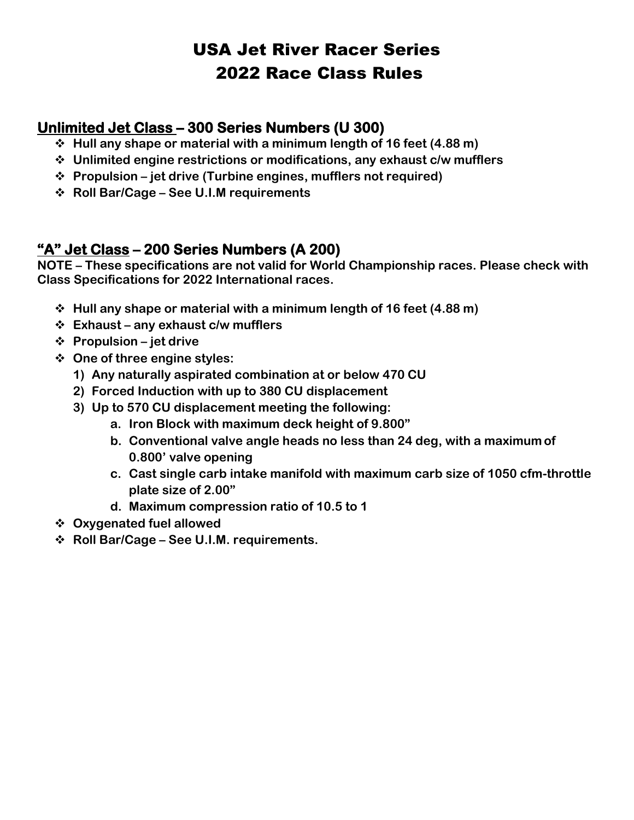## USA Jet River Racer Series 2022 Race Class Rules

#### **Unlimited Jet Class – 300 Series Numbers (U 300)**

- ❖ **Hull any shape or material with a minimum length of 16 feet (4.88 m)**
- ❖ **Unlimited engine restrictions or modifications, any exhaust c/w mufflers**
- ❖ **Propulsion – jet drive (Turbine engines, mufflers not required)**
- ❖ **Roll Bar/Cage – See U.I.M requirements**

#### **"A" Jet Class – 200 Series Numbers (A 200)**

**NOTE – These specifications are not valid for World Championship races. Please check with Class Specifications for 2022 International races.**

- ❖ **Hull any shape or material with a minimum length of 16 feet (4.88 m)**
- ❖ **Exhaust – any exhaust c/w mufflers**
- ❖ **Propulsion – jet drive**
- ❖ **One of three engine styles:**
	- **1) Any naturally aspirated combination at or below 470 CU**
	- **2) Forced Induction with up to 380 CU displacement**
	- **3) Up to 570 CU displacement meeting the following:**
		- **a. Iron Block with maximum deck height of 9.800"**
		- **b. Conventional valve angle heads no less than 24 deg, with a maximum of 0.800' valve opening**
		- **c. Cast single carb intake manifold with maximum carb size of 1050 cfm-throttle plate size of 2.00"**
		- **d. Maximum compression ratio of 10.5 to 1**
- ❖ **Oxygenated fuel allowed**
- ❖ **Roll Bar/Cage – See U.I.M. requirements.**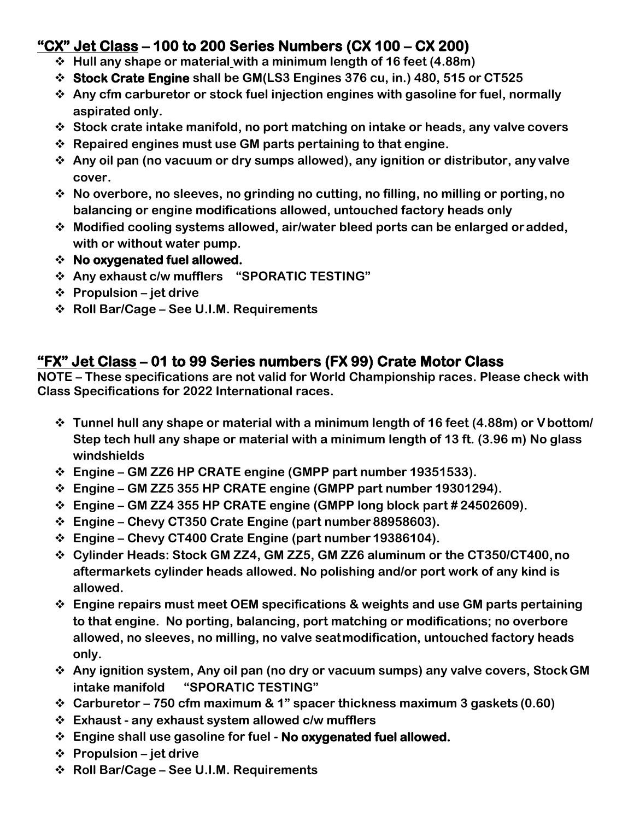### **"CX" Jet Class – 100 to 200 Series Numbers (CX 100 – CX 200)**

- ❖ **Hull any shape or material with a minimum length of 16 feet (4.88m)**
- ❖ **Stock Crate Engine shall be GM(LS3 Engines 376 cu, in.) 480, 515 or CT525**
- ❖ **Any cfm carburetor or stock fuel injection engines with gasoline for fuel, normally aspirated only.**
- ❖ **Stock crate intake manifold, no port matching on intake or heads, any valve covers**
- ❖ **Repaired engines must use GM parts pertaining to that engine.**
- ❖ **Any oil pan (no vacuum or dry sumps allowed), any ignition or distributor, any valve cover.**
- ❖ **No overbore, no sleeves, no grinding no cutting, no filling, no milling or porting, no balancing or engine modifications allowed, untouched factory heads only**
- ❖ **Modified cooling systems allowed, air/water bleed ports can be enlarged oradded, with or without water pump.**
- ❖ **No oxygenated fuel allowed.**
- ❖ **Any exhaust c/w mufflers "SPORATIC TESTING"**
- ❖ **Propulsion – jet drive**
- ❖ **Roll Bar/Cage – See U.I.M. Requirements**

#### **"FX" Jet Class – 01 to 99 Series numbers (FX 99) Crate Motor Class**

**NOTE – These specifications are not valid for World Championship races. Please check with Class Specifications for 2022 International races.**

- ❖ **Tunnel hull any shape or material with a minimum length of 16 feet (4.88m) or Vbottom/ Step tech hull any shape or material with a minimum length of 13 ft. (3.96 m) No glass windshields**
- ❖ **Engine – GM ZZ6 HP CRATE engine (GMPP part number 19351533).**
- ❖ **Engine – GM ZZ5 355 HP CRATE engine (GMPP part number 19301294).**
- ❖ **Engine – GM ZZ4 355 HP CRATE engine (GMPP long block part # 24502609).**
- ❖ **Engine – Chevy CT350 Crate Engine (part number 88958603).**
- ❖ **Engine – Chevy CT400 Crate Engine (part number 19386104).**
- ❖ **Cylinder Heads: Stock GM ZZ4, GM ZZ5, GM ZZ6 aluminum or the CT350/CT400,no aftermarkets cylinder heads allowed. No polishing and/or port work of any kind is allowed.**
- ❖ **Engine repairs must meet OEM specifications & weights and use GM parts pertaining to that engine. No porting, balancing, port matching or modifications; no overbore allowed, no sleeves, no milling, no valve seatmodification, untouched factory heads only.**
- ❖ **Any ignition system, Any oil pan (no dry or vacuum sumps) any valve covers, StockGM intake manifold "SPORATIC TESTING"**
- ❖ **Carburetor – 750 cfm maximum & 1" spacer thickness maximum 3 gaskets (0.60)**
- ❖ **Exhaust - any exhaust system allowed c/w mufflers**
- ❖ **Engine shall use gasoline for fuel - No oxygenated fuel allowed.**
- ❖ **Propulsion – jet drive**
- ❖ **Roll Bar/Cage – See U.I.M. Requirements**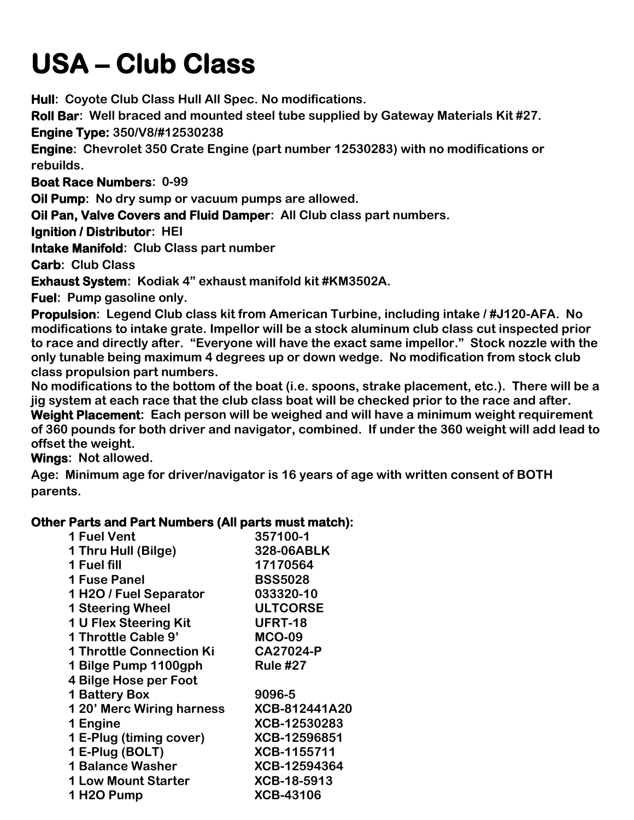# **USA – Club Class**

**Hull: Coyote Club Class Hull All Spec. No modifications.**

**Roll Bar: Well braced and mounted steel tube supplied by Gateway Materials Kit #27. Engine Type: 350/V8/#12530238**

**Engine: Chevrolet 350 Crate Engine (part number 12530283) with no modifications or rebuilds.**

**Boat Race Numbers: 0-99**

**Oil Pump: No dry sump or vacuum pumps are allowed.**

**Oil Pan, Valve Covers and Fluid Damper: All Club class part numbers.**

**Ignition / Distributor: HEI**

**Intake Manifold: Club Class part number**

**Carb: Club Class**

**Exhaust System: Kodiak 4" exhaust manifold kit #KM3502A.**

**Fuel: Pump gasoline only.**

**Propulsion: Legend Club class kit from American Turbine, including intake / #J120-AFA. No modifications to intake grate. Impellor will be a stock aluminum club class cut inspected prior to race and directly after. "Everyone will have the exact same impellor." Stock nozzle with the only tunable being maximum 4 degrees up or down wedge. No modification from stock club class propulsion part numbers.** 

**No modifications to the bottom of the boat (i.e. spoons, strake placement, etc.). There will be a jig system at each race that the club class boat will be checked prior to the race and after.** 

**Weight Placement: Each person will be weighed and will have a minimum weight requirement of 360 pounds for both driver and navigator, combined. If under the 360 weight will add lead to offset the weight.** 

**Wings: Not allowed.**

**Age: Minimum age for driver/navigator is 16 years of age with written consent of BOTH parents.**

#### **Other Parts and Part Numbers (All parts must match):**

| 1 Fuel Vent                     | 357100-1         |
|---------------------------------|------------------|
| 1 Thru Hull (Bilge)             | 328-06ABLK       |
| 1 Fuel fill                     | 17170564         |
| <b>1 Fuse Panel</b>             | <b>BSS5028</b>   |
| 1 H2O / Fuel Separator          | 033320-10        |
| <b>1 Steering Wheel</b>         | <b>ULTCORSE</b>  |
| 1 U Flex Steering Kit           | <b>UFRT-18</b>   |
| 1 Throttle Cable 9'             | <b>MCO-09</b>    |
| <b>1 Throttle Connection Ki</b> | CA27024-P        |
| 1 Bilge Pump 1100gph            | <b>Rule #27</b>  |
| 4 Bilge Hose per Foot           |                  |
| <b>1 Battery Box</b>            | 9096-5           |
| 1 20' Merc Wiring harness       | XCB-812441A20    |
| 1 Engine                        | XCB-12530283     |
| 1 E-Plug (timing cover)         | XCB-12596851     |
| 1 E-Plug (BOLT)                 | XCB-1155711      |
| <b>1 Balance Washer</b>         | XCB-12594364     |
| <b>1 Low Mount Starter</b>      | XCB-18-5913      |
| 1H2O Pump                       | <b>XCB-43106</b> |